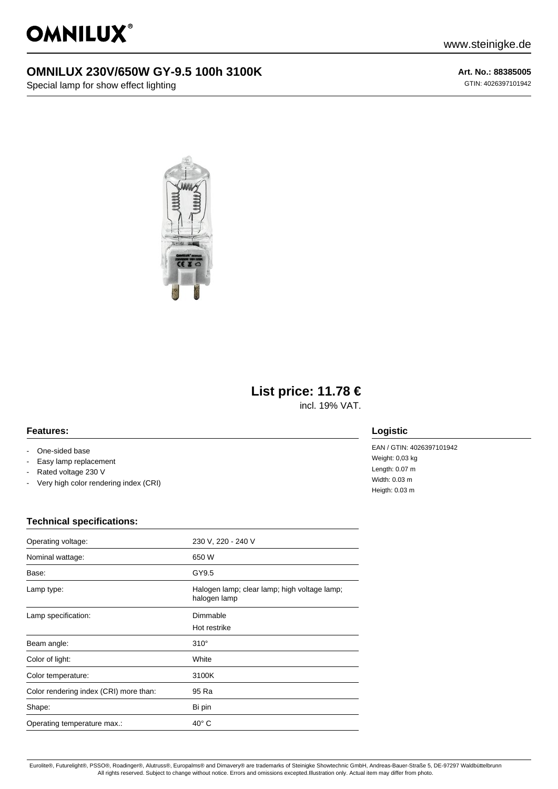

## **OMNILUX 230V/650W GY-9.5 100h 3100K**

Special lamp for show effect lighting

**Art. No.: 88385005** GTIN: 4026397101942



# **List price: 11.78 €**

incl. 19% VAT.

#### **Features:**

- One-sided base
- Easy lamp replacement
- Rated voltage 230 V
- Very high color rendering index (CRI)

### **Logistic**

EAN / GTIN: 4026397101942 Weight: 0,03 kg Length: 0.07 m Width: 0.03 m Heigth: 0.03 m

#### **Technical specifications:**

| Operating voltage:                     | 230 V, 220 - 240 V                                           |
|----------------------------------------|--------------------------------------------------------------|
| Nominal wattage:                       | 650 W                                                        |
| Base:                                  | GY9.5                                                        |
| Lamp type:                             | Halogen lamp; clear lamp; high voltage lamp;<br>halogen lamp |
| Lamp specification:                    | Dimmable                                                     |
|                                        | Hot restrike                                                 |
| Beam angle:                            | $310^\circ$                                                  |
| Color of light:                        | White                                                        |
| Color temperature:                     | 3100K                                                        |
| Color rendering index (CRI) more than: | 95 Ra                                                        |
| Shape:                                 | Bi pin                                                       |
| Operating temperature max.:            | $40^{\circ}$ C                                               |

Eurolite®, Futurelight®, PSSO®, Roadinger®, Alutruss®, Europalms® and Dimavery® are trademarks of Steinigke Showtechnic GmbH, Andreas-Bauer-Straße 5, DE-97297 Waldbüttelbrunn All rights reserved. Subject to change without notice. Errors and omissions excepted.Illustration only. Actual item may differ from photo.